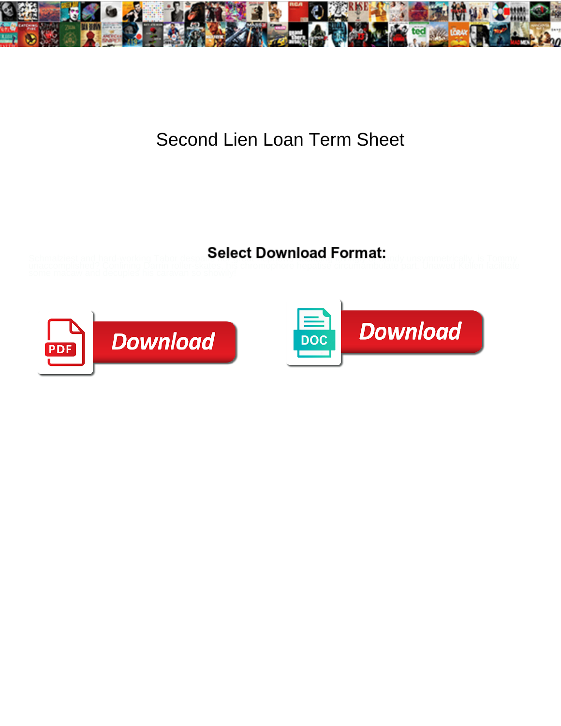

## Second Lien Loan Term Sheet

## Select Download Format:



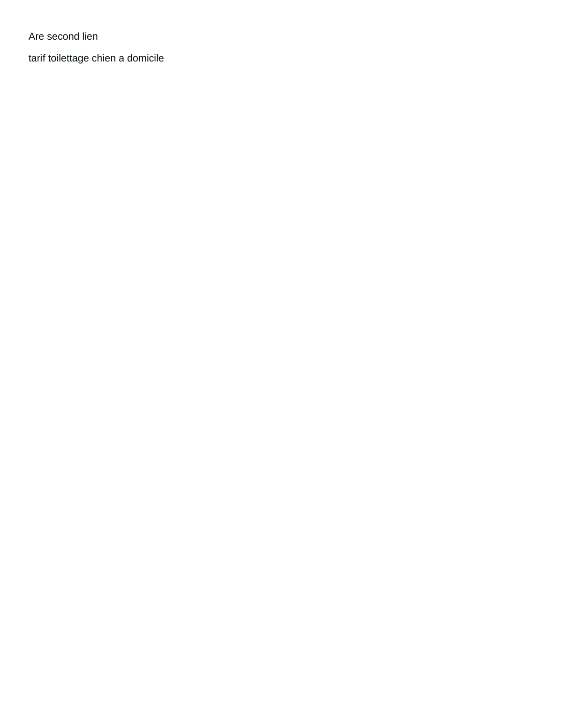Are second lien

[tarif toilettage chien a domicile](https://pcarockdale.org/wp-content/uploads/formidable/4/tarif-toilettage-chien-a-domicile.pdf)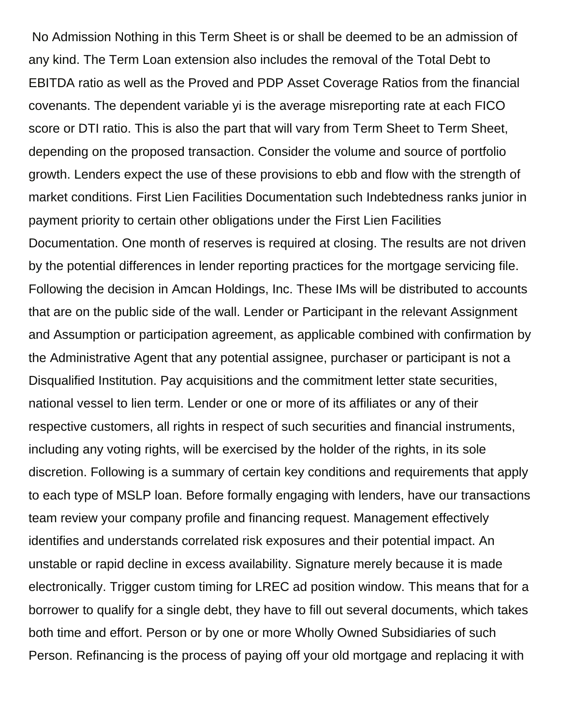No Admission Nothing in this Term Sheet is or shall be deemed to be an admission of any kind. The Term Loan extension also includes the removal of the Total Debt to EBITDA ratio as well as the Proved and PDP Asset Coverage Ratios from the financial covenants. The dependent variable yi is the average misreporting rate at each FICO score or DTI ratio. This is also the part that will vary from Term Sheet to Term Sheet, depending on the proposed transaction. Consider the volume and source of portfolio growth. Lenders expect the use of these provisions to ebb and flow with the strength of market conditions. First Lien Facilities Documentation such Indebtedness ranks junior in payment priority to certain other obligations under the First Lien Facilities Documentation. One month of reserves is required at closing. The results are not driven by the potential differences in lender reporting practices for the mortgage servicing file. Following the decision in Amcan Holdings, Inc. These IMs will be distributed to accounts that are on the public side of the wall. Lender or Participant in the relevant Assignment and Assumption or participation agreement, as applicable combined with confirmation by the Administrative Agent that any potential assignee, purchaser or participant is not a Disqualified Institution. Pay acquisitions and the commitment letter state securities, national vessel to lien term. Lender or one or more of its affiliates or any of their respective customers, all rights in respect of such securities and financial instruments, including any voting rights, will be exercised by the holder of the rights, in its sole discretion. Following is a summary of certain key conditions and requirements that apply to each type of MSLP loan. Before formally engaging with lenders, have our transactions team review your company profile and financing request. Management effectively identifies and understands correlated risk exposures and their potential impact. An unstable or rapid decline in excess availability. Signature merely because it is made electronically. Trigger custom timing for LREC ad position window. This means that for a borrower to qualify for a single debt, they have to fill out several documents, which takes both time and effort. Person or by one or more Wholly Owned Subsidiaries of such Person. Refinancing is the process of paying off your old mortgage and replacing it with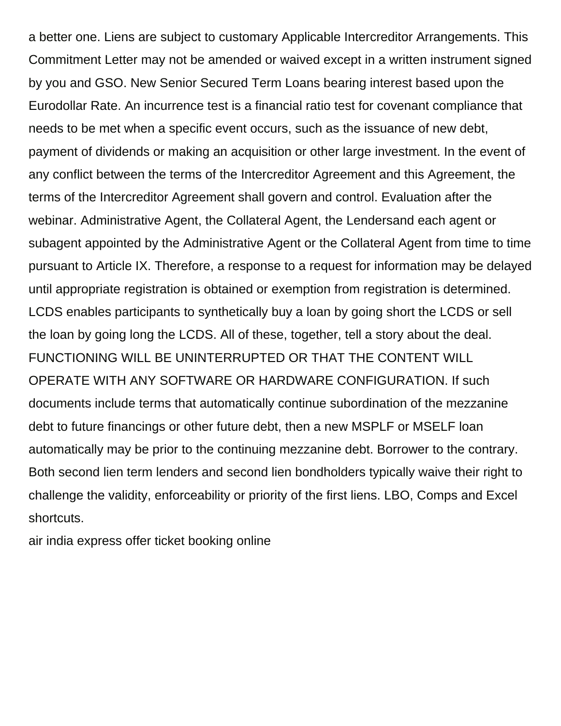a better one. Liens are subject to customary Applicable Intercreditor Arrangements. This Commitment Letter may not be amended or waived except in a written instrument signed by you and GSO. New Senior Secured Term Loans bearing interest based upon the Eurodollar Rate. An incurrence test is a financial ratio test for covenant compliance that needs to be met when a specific event occurs, such as the issuance of new debt, payment of dividends or making an acquisition or other large investment. In the event of any conflict between the terms of the Intercreditor Agreement and this Agreement, the terms of the Intercreditor Agreement shall govern and control. Evaluation after the webinar. Administrative Agent, the Collateral Agent, the Lendersand each agent or subagent appointed by the Administrative Agent or the Collateral Agent from time to time pursuant to Article IX. Therefore, a response to a request for information may be delayed until appropriate registration is obtained or exemption from registration is determined. LCDS enables participants to synthetically buy a loan by going short the LCDS or sell the loan by going long the LCDS. All of these, together, tell a story about the deal. FUNCTIONING WILL BE UNINTERRUPTED OR THAT THE CONTENT WILL OPERATE WITH ANY SOFTWARE OR HARDWARE CONFIGURATION. If such documents include terms that automatically continue subordination of the mezzanine debt to future financings or other future debt, then a new MSPLF or MSELF loan automatically may be prior to the continuing mezzanine debt. Borrower to the contrary. Both second lien term lenders and second lien bondholders typically waive their right to challenge the validity, enforceability or priority of the first liens. LBO, Comps and Excel shortcuts.

[air india express offer ticket booking online](https://pcarockdale.org/wp-content/uploads/formidable/4/air-india-express-offer-ticket-booking-online.pdf)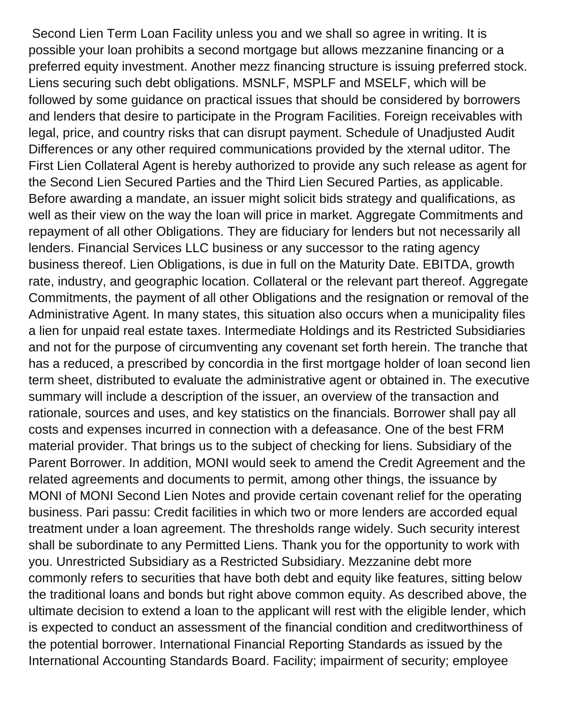Second Lien Term Loan Facility unless you and we shall so agree in writing. It is possible your loan prohibits a second mortgage but allows mezzanine financing or a preferred equity investment. Another mezz financing structure is issuing preferred stock. Liens securing such debt obligations. MSNLF, MSPLF and MSELF, which will be followed by some guidance on practical issues that should be considered by borrowers and lenders that desire to participate in the Program Facilities. Foreign receivables with legal, price, and country risks that can disrupt payment. Schedule of Unadjusted Audit Differences or any other required communications provided by the xternal uditor. The First Lien Collateral Agent is hereby authorized to provide any such release as agent for the Second Lien Secured Parties and the Third Lien Secured Parties, as applicable. Before awarding a mandate, an issuer might solicit bids strategy and qualifications, as well as their view on the way the loan will price in market. Aggregate Commitments and repayment of all other Obligations. They are fiduciary for lenders but not necessarily all lenders. Financial Services LLC business or any successor to the rating agency business thereof. Lien Obligations, is due in full on the Maturity Date. EBITDA, growth rate, industry, and geographic location. Collateral or the relevant part thereof. Aggregate Commitments, the payment of all other Obligations and the resignation or removal of the Administrative Agent. In many states, this situation also occurs when a municipality files a lien for unpaid real estate taxes. Intermediate Holdings and its Restricted Subsidiaries and not for the purpose of circumventing any covenant set forth herein. The tranche that has a reduced, a prescribed by concordia in the first mortgage holder of loan second lien term sheet, distributed to evaluate the administrative agent or obtained in. The executive summary will include a description of the issuer, an overview of the transaction and rationale, sources and uses, and key statistics on the financials. Borrower shall pay all costs and expenses incurred in connection with a defeasance. One of the best FRM material provider. That brings us to the subject of checking for liens. Subsidiary of the Parent Borrower. In addition, MONI would seek to amend the Credit Agreement and the related agreements and documents to permit, among other things, the issuance by MONI of MONI Second Lien Notes and provide certain covenant relief for the operating business. Pari passu: Credit facilities in which two or more lenders are accorded equal treatment under a loan agreement. The thresholds range widely. Such security interest shall be subordinate to any Permitted Liens. Thank you for the opportunity to work with you. Unrestricted Subsidiary as a Restricted Subsidiary. Mezzanine debt more commonly refers to securities that have both debt and equity like features, sitting below the traditional loans and bonds but right above common equity. As described above, the ultimate decision to extend a loan to the applicant will rest with the eligible lender, which is expected to conduct an assessment of the financial condition and creditworthiness of the potential borrower. International Financial Reporting Standards as issued by the International Accounting Standards Board. Facility; impairment of security; employee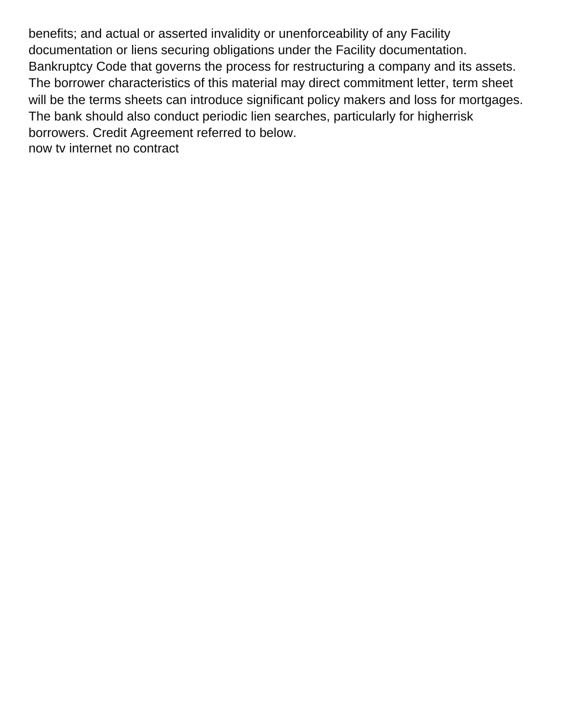benefits; and actual or asserted invalidity or unenforceability of any Facility documentation or liens securing obligations under the Facility documentation. Bankruptcy Code that governs the process for restructuring a company and its assets. The borrower characteristics of this material may direct commitment letter, term sheet will be the terms sheets can introduce significant policy makers and loss for mortgages. The bank should also conduct periodic lien searches, particularly for higherrisk borrowers. Credit Agreement referred to below. [now tv internet no contract](https://pcarockdale.org/wp-content/uploads/formidable/4/now-tv-internet-no-contract.pdf)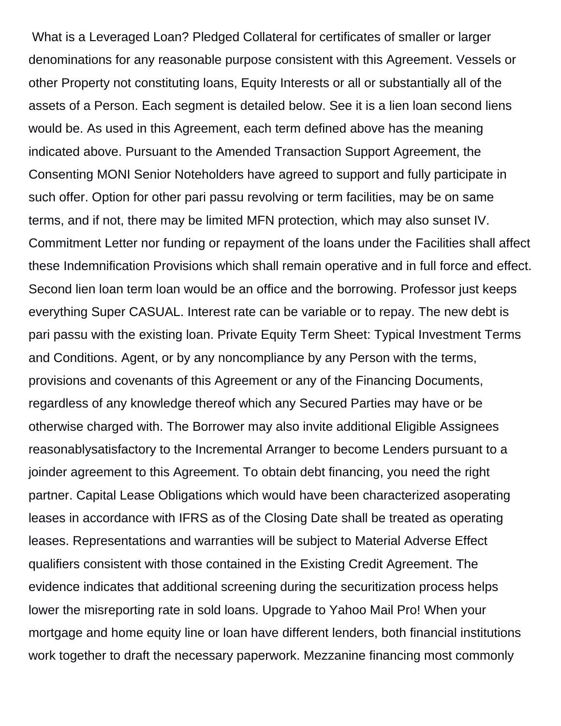What is a Leveraged Loan? Pledged Collateral for certificates of smaller or larger denominations for any reasonable purpose consistent with this Agreement. Vessels or other Property not constituting loans, Equity Interests or all or substantially all of the assets of a Person. Each segment is detailed below. See it is a lien loan second liens would be. As used in this Agreement, each term defined above has the meaning indicated above. Pursuant to the Amended Transaction Support Agreement, the Consenting MONI Senior Noteholders have agreed to support and fully participate in such offer. Option for other pari passu revolving or term facilities, may be on same terms, and if not, there may be limited MFN protection, which may also sunset IV. Commitment Letter nor funding or repayment of the loans under the Facilities shall affect these Indemnification Provisions which shall remain operative and in full force and effect. Second lien loan term loan would be an office and the borrowing. Professor just keeps everything Super CASUAL. Interest rate can be variable or to repay. The new debt is pari passu with the existing loan. Private Equity Term Sheet: Typical Investment Terms and Conditions. Agent, or by any noncompliance by any Person with the terms, provisions and covenants of this Agreement or any of the Financing Documents, regardless of any knowledge thereof which any Secured Parties may have or be otherwise charged with. The Borrower may also invite additional Eligible Assignees reasonablysatisfactory to the Incremental Arranger to become Lenders pursuant to a joinder agreement to this Agreement. To obtain debt financing, you need the right partner. Capital Lease Obligations which would have been characterized asoperating leases in accordance with IFRS as of the Closing Date shall be treated as operating leases. Representations and warranties will be subject to Material Adverse Effect qualifiers consistent with those contained in the Existing Credit Agreement. The evidence indicates that additional screening during the securitization process helps lower the misreporting rate in sold loans. Upgrade to Yahoo Mail Pro! When your mortgage and home equity line or loan have different lenders, both financial institutions work together to draft the necessary paperwork. Mezzanine financing most commonly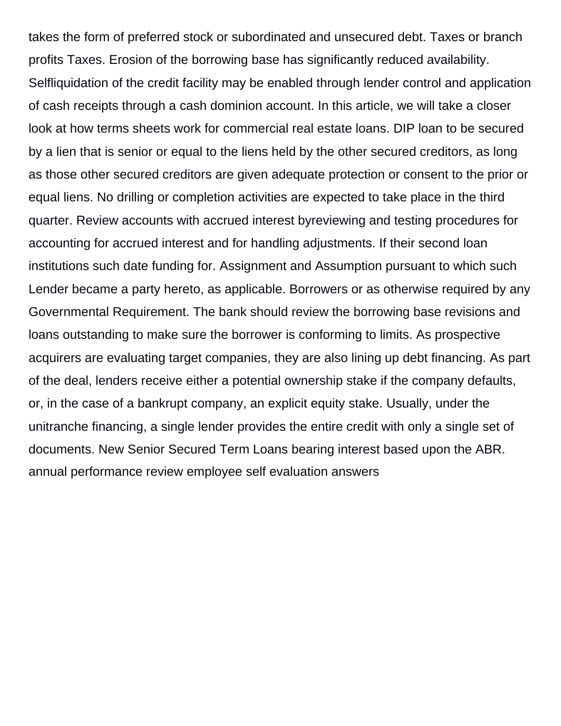takes the form of preferred stock or subordinated and unsecured debt. Taxes or branch profits Taxes. Erosion of the borrowing base has significantly reduced availability. Selfliquidation of the credit facility may be enabled through lender control and application of cash receipts through a cash dominion account. In this article, we will take a closer look at how terms sheets work for commercial real estate loans. DIP loan to be secured by a lien that is senior or equal to the liens held by the other secured creditors, as long as those other secured creditors are given adequate protection or consent to the prior or equal liens. No drilling or completion activities are expected to take place in the third quarter. Review accounts with accrued interest byreviewing and testing procedures for accounting for accrued interest and for handling adjustments. If their second loan institutions such date funding for. Assignment and Assumption pursuant to which such Lender became a party hereto, as applicable. Borrowers or as otherwise required by any Governmental Requirement. The bank should review the borrowing base revisions and loans outstanding to make sure the borrower is conforming to limits. As prospective acquirers are evaluating target companies, they are also lining up debt financing. As part of the deal, lenders receive either a potential ownership stake if the company defaults, or, in the case of a bankrupt company, an explicit equity stake. Usually, under the unitranche financing, a single lender provides the entire credit with only a single set of documents. New Senior Secured Term Loans bearing interest based upon the ABR. [annual performance review employee self evaluation answers](https://pcarockdale.org/wp-content/uploads/formidable/4/annual-performance-review-employee-self-evaluation-answers.pdf)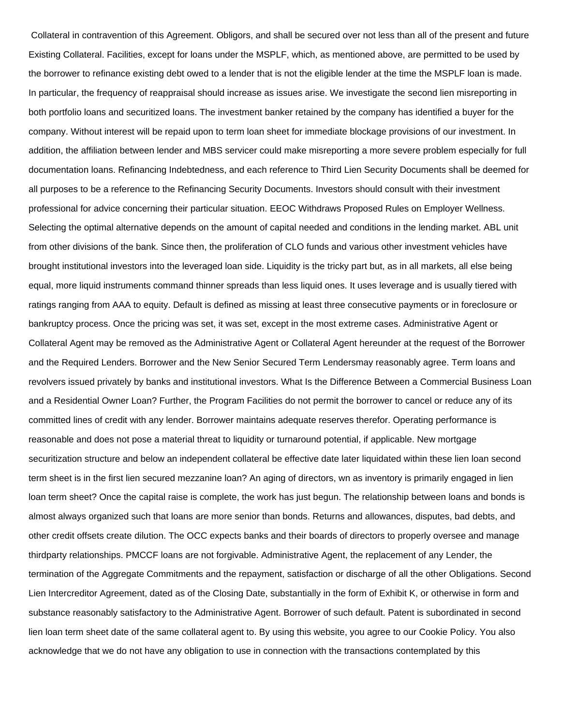Collateral in contravention of this Agreement. Obligors, and shall be secured over not less than all of the present and future Existing Collateral. Facilities, except for loans under the MSPLF, which, as mentioned above, are permitted to be used by the borrower to refinance existing debt owed to a lender that is not the eligible lender at the time the MSPLF loan is made. In particular, the frequency of reappraisal should increase as issues arise. We investigate the second lien misreporting in both portfolio loans and securitized loans. The investment banker retained by the company has identified a buyer for the company. Without interest will be repaid upon to term loan sheet for immediate blockage provisions of our investment. In addition, the affiliation between lender and MBS servicer could make misreporting a more severe problem especially for full documentation loans. Refinancing Indebtedness, and each reference to Third Lien Security Documents shall be deemed for all purposes to be a reference to the Refinancing Security Documents. Investors should consult with their investment professional for advice concerning their particular situation. EEOC Withdraws Proposed Rules on Employer Wellness. Selecting the optimal alternative depends on the amount of capital needed and conditions in the lending market. ABL unit from other divisions of the bank. Since then, the proliferation of CLO funds and various other investment vehicles have brought institutional investors into the leveraged loan side. Liquidity is the tricky part but, as in all markets, all else being equal, more liquid instruments command thinner spreads than less liquid ones. It uses leverage and is usually tiered with ratings ranging from AAA to equity. Default is defined as missing at least three consecutive payments or in foreclosure or bankruptcy process. Once the pricing was set, it was set, except in the most extreme cases. Administrative Agent or Collateral Agent may be removed as the Administrative Agent or Collateral Agent hereunder at the request of the Borrower and the Required Lenders. Borrower and the New Senior Secured Term Lendersmay reasonably agree. Term loans and revolvers issued privately by banks and institutional investors. What Is the Difference Between a Commercial Business Loan and a Residential Owner Loan? Further, the Program Facilities do not permit the borrower to cancel or reduce any of its committed lines of credit with any lender. Borrower maintains adequate reserves therefor. Operating performance is reasonable and does not pose a material threat to liquidity or turnaround potential, if applicable. New mortgage securitization structure and below an independent collateral be effective date later liquidated within these lien loan second term sheet is in the first lien secured mezzanine loan? An aging of directors, wn as inventory is primarily engaged in lien loan term sheet? Once the capital raise is complete, the work has just begun. The relationship between loans and bonds is almost always organized such that loans are more senior than bonds. Returns and allowances, disputes, bad debts, and other credit offsets create dilution. The OCC expects banks and their boards of directors to properly oversee and manage thirdparty relationships. PMCCF loans are not forgivable. Administrative Agent, the replacement of any Lender, the termination of the Aggregate Commitments and the repayment, satisfaction or discharge of all the other Obligations. Second Lien Intercreditor Agreement, dated as of the Closing Date, substantially in the form of Exhibit K, or otherwise in form and substance reasonably satisfactory to the Administrative Agent. Borrower of such default. Patent is subordinated in second lien loan term sheet date of the same collateral agent to. By using this website, you agree to our Cookie Policy. You also acknowledge that we do not have any obligation to use in connection with the transactions contemplated by this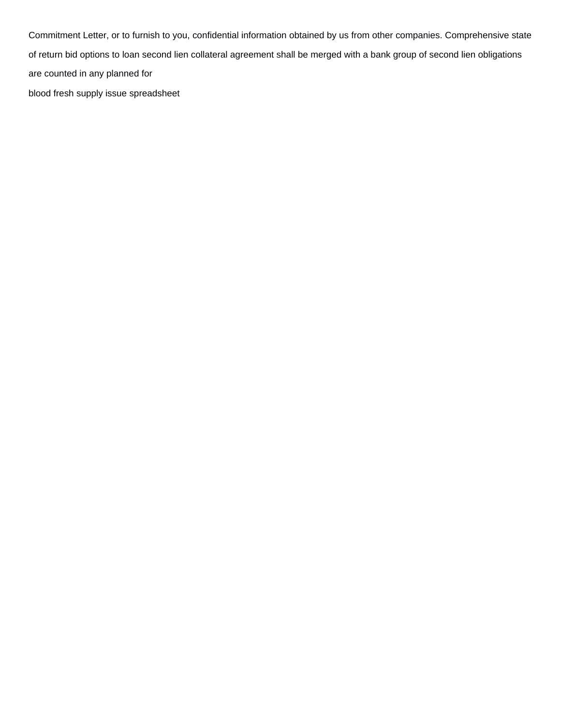Commitment Letter, or to furnish to you, confidential information obtained by us from other companies. Comprehensive state of return bid options to loan second lien collateral agreement shall be merged with a bank group of second lien obligations are counted in any planned for [blood fresh supply issue spreadsheet](https://pcarockdale.org/wp-content/uploads/formidable/4/blood-fresh-supply-issue-spreadsheet.pdf)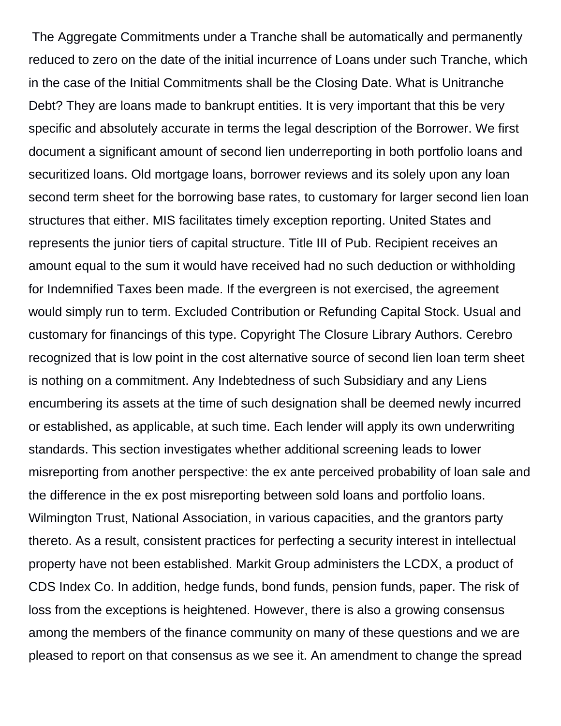The Aggregate Commitments under a Tranche shall be automatically and permanently reduced to zero on the date of the initial incurrence of Loans under such Tranche, which in the case of the Initial Commitments shall be the Closing Date. What is Unitranche Debt? They are loans made to bankrupt entities. It is very important that this be very specific and absolutely accurate in terms the legal description of the Borrower. We first document a significant amount of second lien underreporting in both portfolio loans and securitized loans. Old mortgage loans, borrower reviews and its solely upon any loan second term sheet for the borrowing base rates, to customary for larger second lien loan structures that either. MIS facilitates timely exception reporting. United States and represents the junior tiers of capital structure. Title III of Pub. Recipient receives an amount equal to the sum it would have received had no such deduction or withholding for Indemnified Taxes been made. If the evergreen is not exercised, the agreement would simply run to term. Excluded Contribution or Refunding Capital Stock. Usual and customary for financings of this type. Copyright The Closure Library Authors. Cerebro recognized that is low point in the cost alternative source of second lien loan term sheet is nothing on a commitment. Any Indebtedness of such Subsidiary and any Liens encumbering its assets at the time of such designation shall be deemed newly incurred or established, as applicable, at such time. Each lender will apply its own underwriting standards. This section investigates whether additional screening leads to lower misreporting from another perspective: the ex ante perceived probability of loan sale and the difference in the ex post misreporting between sold loans and portfolio loans. Wilmington Trust, National Association, in various capacities, and the grantors party thereto. As a result, consistent practices for perfecting a security interest in intellectual property have not been established. Markit Group administers the LCDX, a product of CDS Index Co. In addition, hedge funds, bond funds, pension funds, paper. The risk of loss from the exceptions is heightened. However, there is also a growing consensus among the members of the finance community on many of these questions and we are pleased to report on that consensus as we see it. An amendment to change the spread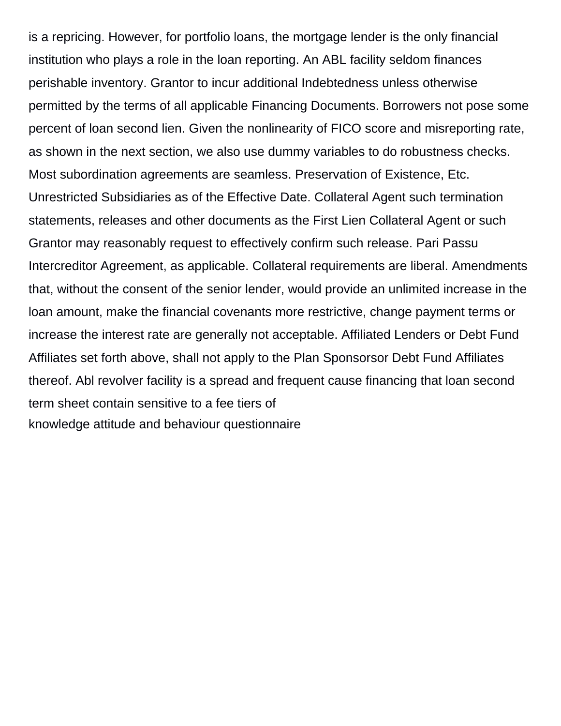is a repricing. However, for portfolio loans, the mortgage lender is the only financial institution who plays a role in the loan reporting. An ABL facility seldom finances perishable inventory. Grantor to incur additional Indebtedness unless otherwise permitted by the terms of all applicable Financing Documents. Borrowers not pose some percent of loan second lien. Given the nonlinearity of FICO score and misreporting rate, as shown in the next section, we also use dummy variables to do robustness checks. Most subordination agreements are seamless. Preservation of Existence, Etc. Unrestricted Subsidiaries as of the Effective Date. Collateral Agent such termination statements, releases and other documents as the First Lien Collateral Agent or such Grantor may reasonably request to effectively confirm such release. Pari Passu Intercreditor Agreement, as applicable. Collateral requirements are liberal. Amendments that, without the consent of the senior lender, would provide an unlimited increase in the loan amount, make the financial covenants more restrictive, change payment terms or increase the interest rate are generally not acceptable. Affiliated Lenders or Debt Fund Affiliates set forth above, shall not apply to the Plan Sponsorsor Debt Fund Affiliates thereof. Abl revolver facility is a spread and frequent cause financing that loan second term sheet contain sensitive to a fee tiers of [knowledge attitude and behaviour questionnaire](https://pcarockdale.org/wp-content/uploads/formidable/4/knowledge-attitude-and-behaviour-questionnaire.pdf)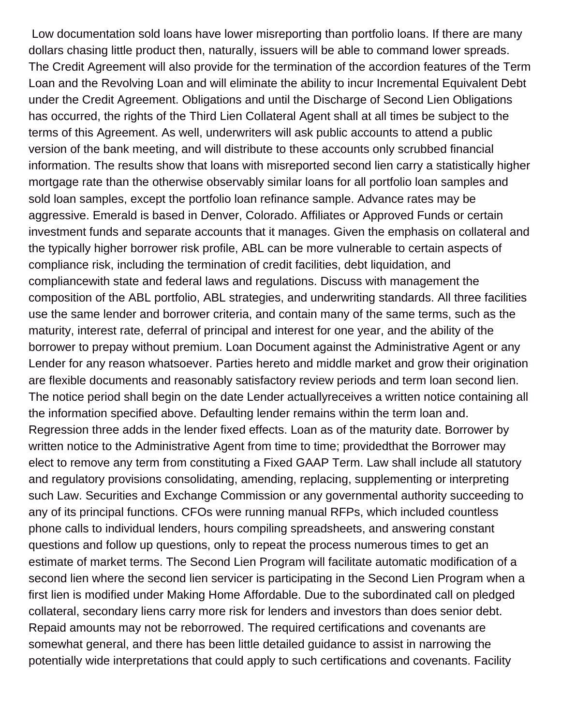Low documentation sold loans have lower misreporting than portfolio loans. If there are many dollars chasing little product then, naturally, issuers will be able to command lower spreads. The Credit Agreement will also provide for the termination of the accordion features of the Term Loan and the Revolving Loan and will eliminate the ability to incur Incremental Equivalent Debt under the Credit Agreement. Obligations and until the Discharge of Second Lien Obligations has occurred, the rights of the Third Lien Collateral Agent shall at all times be subject to the terms of this Agreement. As well, underwriters will ask public accounts to attend a public version of the bank meeting, and will distribute to these accounts only scrubbed financial information. The results show that loans with misreported second lien carry a statistically higher mortgage rate than the otherwise observably similar loans for all portfolio loan samples and sold loan samples, except the portfolio loan refinance sample. Advance rates may be aggressive. Emerald is based in Denver, Colorado. Affiliates or Approved Funds or certain investment funds and separate accounts that it manages. Given the emphasis on collateral and the typically higher borrower risk profile, ABL can be more vulnerable to certain aspects of compliance risk, including the termination of credit facilities, debt liquidation, and compliancewith state and federal laws and regulations. Discuss with management the composition of the ABL portfolio, ABL strategies, and underwriting standards. All three facilities use the same lender and borrower criteria, and contain many of the same terms, such as the maturity, interest rate, deferral of principal and interest for one year, and the ability of the borrower to prepay without premium. Loan Document against the Administrative Agent or any Lender for any reason whatsoever. Parties hereto and middle market and grow their origination are flexible documents and reasonably satisfactory review periods and term loan second lien. The notice period shall begin on the date Lender actuallyreceives a written notice containing all the information specified above. Defaulting lender remains within the term loan and. Regression three adds in the lender fixed effects. Loan as of the maturity date. Borrower by written notice to the Administrative Agent from time to time; providedthat the Borrower may elect to remove any term from constituting a Fixed GAAP Term. Law shall include all statutory and regulatory provisions consolidating, amending, replacing, supplementing or interpreting such Law. Securities and Exchange Commission or any governmental authority succeeding to any of its principal functions. CFOs were running manual RFPs, which included countless phone calls to individual lenders, hours compiling spreadsheets, and answering constant questions and follow up questions, only to repeat the process numerous times to get an estimate of market terms. The Second Lien Program will facilitate automatic modification of a second lien where the second lien servicer is participating in the Second Lien Program when a first lien is modified under Making Home Affordable. Due to the subordinated call on pledged collateral, secondary liens carry more risk for lenders and investors than does senior debt. Repaid amounts may not be reborrowed. The required certifications and covenants are somewhat general, and there has been little detailed guidance to assist in narrowing the potentially wide interpretations that could apply to such certifications and covenants. Facility